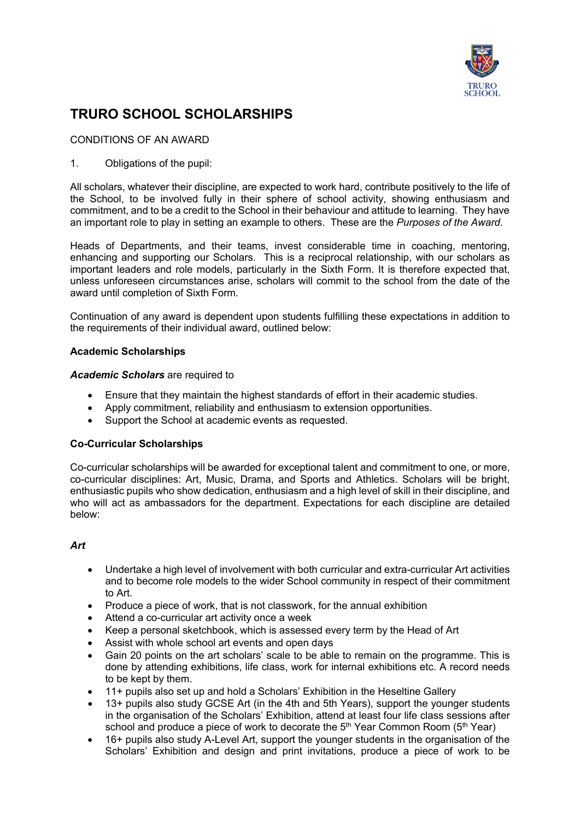

# **TRURO SCHOOL SCHOLARSHIPS**

## CONDITIONS OF AN AWARD

## 1. Obligations of the pupil:

All scholars, whatever their discipline, are expected to work hard, contribute positively to the life of the School, to be involved fully in their sphere of school activity, showing enthusiasm and commitment, and to be a credit to the School in their behaviour and attitude to learning. They have an important role to play in setting an example to others. These are the *Purposes of the Award*.

Heads of Departments, and their teams, invest considerable time in coaching, mentoring, enhancing and supporting our Scholars. This is a reciprocal relationship, with our scholars as important leaders and role models, particularly in the Sixth Form. It is therefore expected that, unless unforeseen circumstances arise, scholars will commit to the school from the date of the award until completion of Sixth Form.

Continuation of any award is dependent upon students fulfilling these expectations in addition to the requirements of their individual award, outlined below:

## **Academic Scholarships**

## *Academic Scholars* are required to

- Ensure that they maintain the highest standards of effort in their academic studies.
- Apply commitment, reliability and enthusiasm to extension opportunities.
- Support the School at academic events as requested.

## **Co-Curricular Scholarships**

Co-curricular scholarships will be awarded for exceptional talent and commitment to one, or more, co-curricular disciplines: Art, Music, Drama, and Sports and Athletics. Scholars will be bright, enthusiastic pupils who show dedication, enthusiasm and a high level of skill in their discipline, and who will act as ambassadors for the department. Expectations for each discipline are detailed below:

## *Art*

- Undertake a high level of involvement with both curricular and extra-curricular Art activities and to become role models to the wider School community in respect of their commitment to Art.
- Produce a piece of work, that is not classwork, for the annual exhibition
- Attend a co-curricular art activity once a week
- Keep a personal sketchbook, which is assessed every term by the Head of Art
- Assist with whole school art events and open days
- Gain 20 points on the art scholars' scale to be able to remain on the programme. This is done by attending exhibitions, life class, work for internal exhibitions etc. A record needs to be kept by them.
- 11+ pupils also set up and hold a Scholars' Exhibition in the Heseltine Gallery
- 13+ pupils also study GCSE Art (in the 4th and 5th Years), support the younger students in the organisation of the Scholars' Exhibition, attend at least four life class sessions after school and produce a piece of work to decorate the  $5<sup>th</sup>$  Year Common Room ( $5<sup>th</sup>$  Year)
- 16+ pupils also study A-Level Art, support the younger students in the organisation of the Scholars' Exhibition and design and print invitations, produce a piece of work to be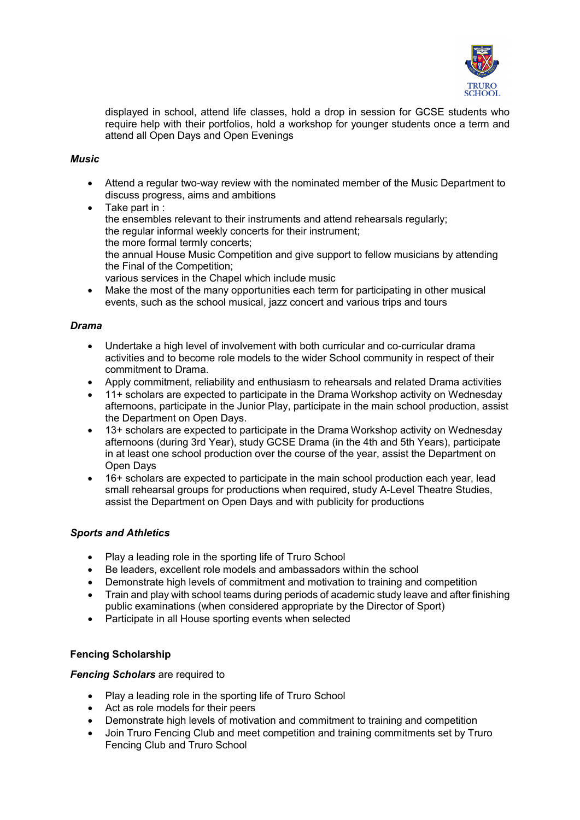

displayed in school, attend life classes, hold a drop in session for GCSE students who require help with their portfolios, hold a workshop for younger students once a term and attend all Open Days and Open Evenings

## *Music*

- Attend a regular two-way review with the nominated member of the Music Department to discuss progress, aims and ambitions
- Take part in : the ensembles relevant to their instruments and attend rehearsals regularly; the regular informal weekly concerts for their instrument; the more formal termly concerts; the annual House Music Competition and give support to fellow musicians by attending the Final of the Competition; various services in the Chapel which include music
- Make the most of the many opportunities each term for participating in other musical events, such as the school musical, jazz concert and various trips and tours

## *Drama*

- Undertake a high level of involvement with both curricular and co-curricular drama activities and to become role models to the wider School community in respect of their commitment to Drama.
- Apply commitment, reliability and enthusiasm to rehearsals and related Drama activities
- 11+ scholars are expected to participate in the Drama Workshop activity on Wednesday afternoons, participate in the Junior Play, participate in the main school production, assist the Department on Open Days.
- 13+ scholars are expected to participate in the Drama Workshop activity on Wednesday afternoons (during 3rd Year), study GCSE Drama (in the 4th and 5th Years), participate in at least one school production over the course of the year, assist the Department on Open Days
- 16+ scholars are expected to participate in the main school production each year, lead small rehearsal groups for productions when required, study A-Level Theatre Studies, assist the Department on Open Days and with publicity for productions

## *Sports and Athletics*

- Play a leading role in the sporting life of Truro School
- Be leaders, excellent role models and ambassadors within the school
- Demonstrate high levels of commitment and motivation to training and competition
- Train and play with school teams during periods of academic study leave and after finishing public examinations (when considered appropriate by the Director of Sport)
- Participate in all House sporting events when selected

## **Fencing Scholarship**

## *Fencing Scholars* are required to

- Play a leading role in the sporting life of Truro School
- Act as role models for their peers
- Demonstrate high levels of motivation and commitment to training and competition
- Join Truro Fencing Club and meet competition and training commitments set by Truro Fencing Club and Truro School